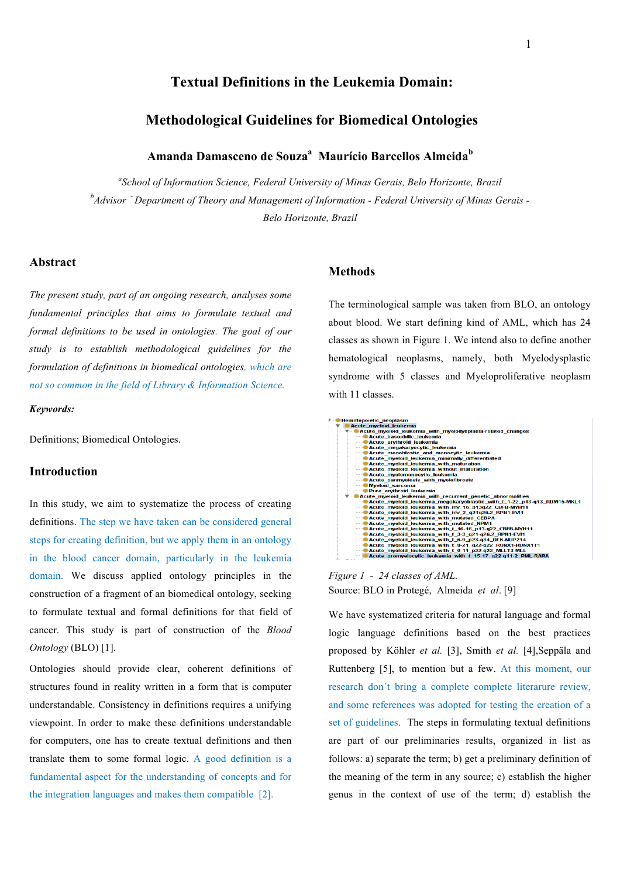## **Textual Definitions in the Leukemia Domain:**

# **Methodological Guidelines for Biomedical Ontologies**

## Amanda Damasceno de Souza<sup>a</sup> Maurício Barcellos Almeida<sup>b</sup>

*a School of Information Science, Federal University of Minas Gerais, Belo Horizonte, Brazil b Advisor - Department of Theory and Management of Information - Federal University of Minas Gerais - Belo Horizonte, Brazil*

#### **Abstract**

*The present study, part of an ongoing research, analyses some fundamental principles that aims to formulate textual and formal definitions to be used in ontologies. The goal of our study is to establish methodological guidelines for the formulation of definitions in biomedical ontologies, which are not so common in the field of Library & Information Science.*

#### *Keywords:*

Definitions; Biomedical Ontologies.

### **Introduction**

In this study, we aim to systematize the process of creating definitions. The step we have taken can be considered general steps for creating definition, but we apply them in an ontology in the blood cancer domain, particularly in the leukemia domain. We discuss applied ontology principles in the construction of a fragment of an biomedical ontology, seeking to formulate textual and formal definitions for that field of cancer. This study is part of construction of the *Blood Ontology* (BLO) [1].

Ontologies should provide clear, coherent definitions of structures found in reality written in a form that is computer understandable. Consistency in definitions requires a unifying viewpoint. In order to make these definitions understandable for computers, one has to create textual definitions and then translate them to some formal logic. A good definition is a fundamental aspect for the understanding of concepts and for the integration languages and makes them compatible [2].

### **Methods**

The terminological sample was taken from BLO, an ontology about blood. We start defining kind of AML, which has 24 classes as shown in Figure 1. We intend also to define another hematological neoplasms, namely, both Myelodysplastic syndrome with 5 classes and Myeloproliferative neoplasm with 11 classes.



*Figure 1 - 24 classes of AML.* Source: BLO in Protegé, Almeida *et al*. [9]

We have systematized criteria for natural language and formal logic language definitions based on the best practices proposed by Köhler *et al.* [3], Smith *et al.* [4],Seppäla and Ruttenberg [5], to mention but a few. At this moment, our research don´t bring a complete complete literarure review, and some references was adopted for testing the creation of a set of guidelines. The steps in formulating textual definitions are part of our preliminaries results, organized in list as follows: a) separate the term; b) get a preliminary definition of the meaning of the term in any source; c) establish the higher genus in the context of use of the term; d) establish the